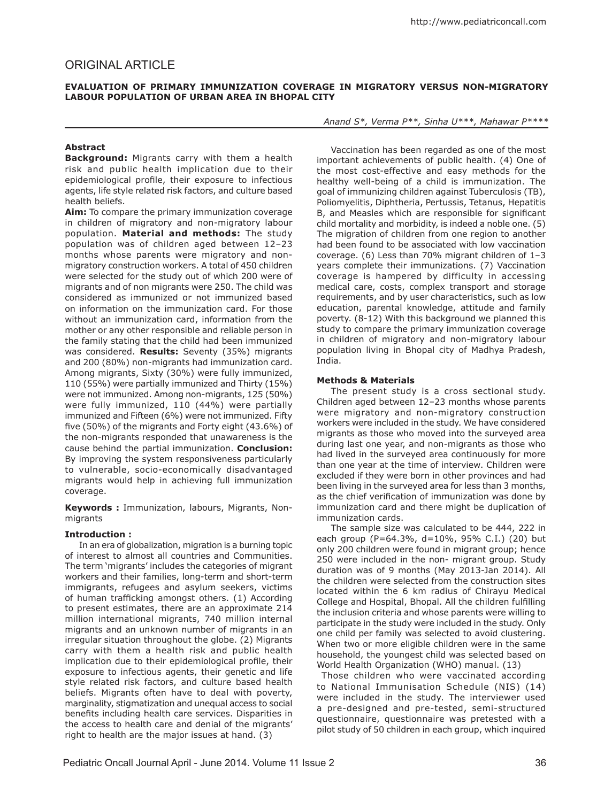## **Evaluation of primary immunization coverage in migratory versus non-migratory labour population of urban area in Bhopal city**

# **Abstract**

**Background:** Migrants carry with them a health risk and public health implication due to their epidemiological profile, their exposure to infectious agents, life style related risk factors, and culture based health beliefs.

**Aim:** To compare the primary immunization coverage in children of migratory and non-migratory labour population. **Material and methods:** The study population was of children aged between 12–23 months whose parents were migratory and nonmigratory construction workers. A total of 450 children were selected for the study out of which 200 were of migrants and of non migrants were 250. The child was considered as immunized or not immunized based on information on the immunization card. For those without an immunization card, information from the mother or any other responsible and reliable person in the family stating that the child had been immunized was considered. **Results:** Seventy (35%) migrants and 200 (80%) non-migrants had immunization card. Among migrants, Sixty (30%) were fully immunized, 110 (55%) were partially immunized and Thirty (15%) were not immunized. Among non-migrants, 125 (50%) were fully immunized, 110 (44%) were partially immunized and Fifteen (6%) were not immunized. Fifty five (50%) of the migrants and Forty eight (43.6%) of the non-migrants responded that unawareness is the cause behind the partial immunization. **Conclusion:**  By improving the system responsiveness particularly to vulnerable, socio-economically disadvantaged migrants would help in achieving full immunization coverage.

**Keywords :** Immunization, labours, Migrants, Nonmigrants

## **Introduction :**

In an era of globalization, migration is a burning topic of interest to almost all countries and Communities. The term 'migrants' includes the categories of migrant workers and their families, long-term and short-term immigrants, refugees and asylum seekers, victims of human trafficking amongst others. (1) According to present estimates, there are an approximate 214 million international migrants, 740 million internal migrants and an unknown number of migrants in an irregular situation throughout the globe. (2) Migrants carry with them a health risk and public health implication due to their epidemiological profile, their exposure to infectious agents, their genetic and life style related risk factors, and culture based health beliefs. Migrants often have to deal with poverty, marginality, stigmatization and unequal access to social benefits including health care services. Disparities in the access to health care and denial of the migrants' right to health are the major issues at hand. (3)

*Anand S\*, Verma P\*\*, Sinha U\*\*\*, Mahawar P\*\*\*\**

Vaccination has been regarded as one of the most important achievements of public health. (4) One of the most cost-effective and easy methods for the healthy well-being of a child is immunization. The goal of immunizing children against Tuberculosis (TB), Poliomyelitis, Diphtheria, Pertussis, Tetanus, Hepatitis B, and Measles which are responsible for significant child mortality and morbidity, is indeed a noble one. (5) The migration of children from one region to another had been found to be associated with low vaccination coverage. (6) Less than 70% migrant children of 1–3 years complete their immunizations. (7) Vaccination coverage is hampered by difficulty in accessing medical care, costs, complex transport and storage requirements, and by user characteristics, such as low education, parental knowledge, attitude and family poverty. (8-12) With this background we planned this study to compare the primary immunization coverage in children of migratory and non-migratory labour population living in Bhopal city of Madhya Pradesh, India.

## **Methods & Materials**

The present study is a cross sectional study. Children aged between 12–23 months whose parents were migratory and non-migratory construction workers were included in the study. We have considered migrants as those who moved into the surveyed area during last one year, and non-migrants as those who had lived in the surveyed area continuously for more than one year at the time of interview. Children were excluded if they were born in other provinces and had been living in the surveyed area for less than 3 months, as the chief verification of immunization was done by immunization card and there might be duplication of immunization cards.

The sample size was calculated to be 444, 222 in each group (P=64.3%, d=10%, 95% C.I.) (20) but only 200 children were found in migrant group; hence 250 were included in the non- migrant group. Study duration was of 9 months (May 2013-Jan 2014). All the children were selected from the construction sites located within the 6 km radius of Chirayu Medical College and Hospital, Bhopal. All the children fulfilling the inclusion criteria and whose parents were willing to participate in the study were included in the study. Only one child per family was selected to avoid clustering. When two or more eligible children were in the same household, the youngest child was selected based on World Health Organization (WHO) manual. (13)

 Those children who were vaccinated according to National Immunisation Schedule (NIS) (14) were included in the study. The interviewer used a pre-designed and pre-tested, semi-structured questionnaire, questionnaire was pretested with a pilot study of 50 children in each group, which inquired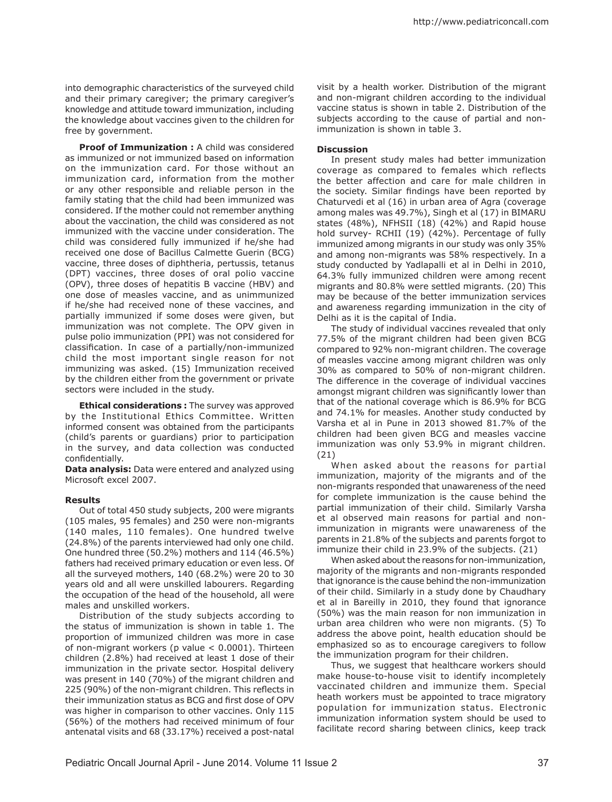into demographic characteristics of the surveyed child and their primary caregiver; the primary caregiver's knowledge and attitude toward immunization, including the knowledge about vaccines given to the children for free by government.

**Proof of Immunization :** A child was considered as immunized or not immunized based on information on the immunization card. For those without an immunization card, information from the mother or any other responsible and reliable person in the family stating that the child had been immunized was considered. If the mother could not remember anything about the vaccination, the child was considered as not immunized with the vaccine under consideration. The child was considered fully immunized if he/she had received one dose of Bacillus Calmette Guerin (BCG) vaccine, three doses of diphtheria, pertussis, tetanus (DPT) vaccines, three doses of oral polio vaccine (OPV), three doses of hepatitis B vaccine (HBV) and one dose of measles vaccine, and as unimmunized if he/she had received none of these vaccines, and partially immunized if some doses were given, but immunization was not complete. The OPV given in pulse polio immunization (PPI) was not considered for classification. In case of a partially/non-immunized child the most important single reason for not immunizing was asked. (15) Immunization received by the children either from the government or private sectors were included in the study.

**Ethical considerations :** The survey was approved by the Institutional Ethics Committee. Written informed consent was obtained from the participants (child's parents or guardians) prior to participation in the survey, and data collection was conducted confidentially.

**Data analysis:** Data were entered and analyzed using Microsoft excel 2007.

### **Results**

Out of total 450 study subjects, 200 were migrants (105 males, 95 females) and 250 were non-migrants (140 males, 110 females). One hundred twelve (24.8%) of the parents interviewed had only one child. One hundred three (50.2%) mothers and 114 (46.5%) fathers had received primary education or even less. Of all the surveyed mothers, 140 (68.2%) were 20 to 30 years old and all were unskilled labourers. Regarding the occupation of the head of the household, all were males and unskilled workers.

Distribution of the study subjects according to the status of immunization is shown in table 1. The proportion of immunized children was more in case of non-migrant workers (p value < 0.0001). Thirteen children (2.8%) had received at least 1 dose of their immunization in the private sector. Hospital delivery was present in 140 (70%) of the migrant children and 225 (90%) of the non-migrant children. This reflects in their immunization status as BCG and first dose of OPV was higher in comparison to other vaccines. Only 115 (56%) of the mothers had received minimum of four antenatal visits and 68 (33.17%) received a post-natal

visit by a health worker. Distribution of the migrant and non-migrant children according to the individual vaccine status is shown in table 2. Distribution of the subjects according to the cause of partial and nonimmunization is shown in table 3.

#### **Discussion**

In present study males had better immunization coverage as compared to females which reflects the better affection and care for male children in the society. Similar findings have been reported by Chaturvedi et al (16) in urban area of Agra (coverage among males was 49.7%), Singh et al (17) in BIMARU states (48%), NFHSII (18) (42%) and Rapid house hold survey- RCHII (19) (42%). Percentage of fully immunized among migrants in our study was only 35% and among non-migrants was 58% respectively. In a study conducted by Yadlapalli et al in Delhi in 2010, 64.3% fully immunized children were among recent migrants and 80.8% were settled migrants. (20) This may be because of the better immunization services and awareness regarding immunization in the city of Delhi as it is the capital of India.

The study of individual vaccines revealed that only 77.5% of the migrant children had been given BCG compared to 92% non-migrant children. The coverage of measles vaccine among migrant children was only 30% as compared to 50% of non-migrant children. The difference in the coverage of individual vaccines amongst migrant children was significantly lower than that of the national coverage which is 86.9% for BCG and 74.1% for measles. Another study conducted by Varsha et al in Pune in 2013 showed 81.7% of the children had been given BCG and measles vaccine immunization was only 53.9% in migrant children. (21)

When asked about the reasons for partial immunization, majority of the migrants and of the non-migrants responded that unawareness of the need for complete immunization is the cause behind the partial immunization of their child. Similarly Varsha et al observed main reasons for partial and nonimmunization in migrants were unawareness of the parents in 21.8% of the subjects and parents forgot to immunize their child in 23.9% of the subjects. (21)

When asked about the reasons for non-immunization, majority of the migrants and non-migrants responded that ignorance is the cause behind the non-immunization of their child. Similarly in a study done by Chaudhary et al in Bareilly in 2010, they found that ignorance (50%) was the main reason for non immunization in urban area children who were non migrants. (5) To address the above point, health education should be emphasized so as to encourage caregivers to follow the immunization program for their children.

Thus, we suggest that healthcare workers should make house-to-house visit to identify incompletely vaccinated children and immunize them. Special heath workers must be appointed to trace migratory population for immunization status. Electronic immunization information system should be used to facilitate record sharing between clinics, keep track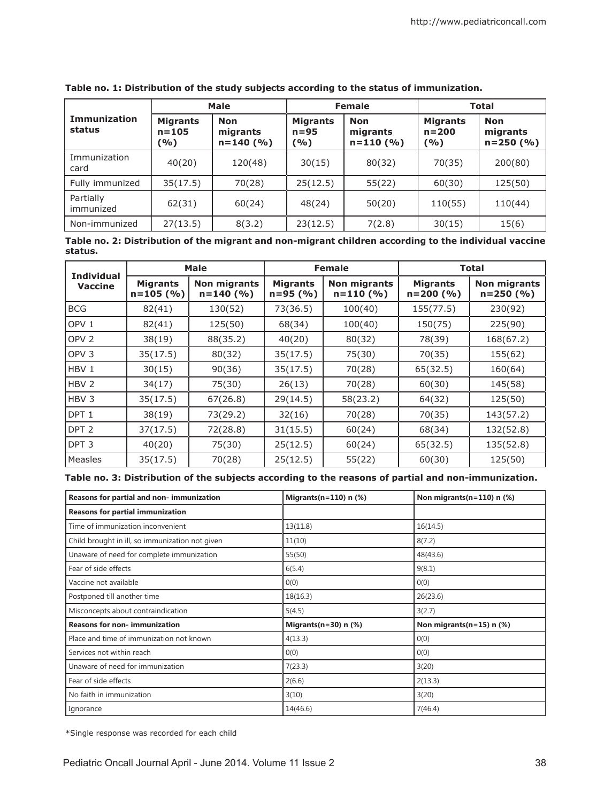|                               | <b>Male</b>                         |                                         | <b>Female</b>                       |                                      | <b>Total</b>                          |                                         |
|-------------------------------|-------------------------------------|-----------------------------------------|-------------------------------------|--------------------------------------|---------------------------------------|-----------------------------------------|
| <b>Immunization</b><br>status | <b>Migrants</b><br>$n = 105$<br>(%) | <b>Non</b><br>migrants<br>$n = 140$ (%) | <b>Migrants</b><br>$n = 95$<br>( %) | <b>Non</b><br>migrants<br>$n=110(%)$ | <b>Migrants</b><br>$n = 200$<br>(9/0) | <b>Non</b><br>migrants<br>$n = 250$ (%) |
| Immunization<br>card          | 40(20)                              | 120(48)                                 | 30(15)                              | 80(32)                               | 70(35)                                | 200(80)                                 |
| Fully immunized               | 35(17.5)                            | 70(28)                                  | 25(12.5)                            | 55(22)                               | 60(30)                                | 125(50)                                 |
| Partially<br>immunized        | 62(31)                              | 60(24)                                  | 48(24)                              | 50(20)                               | 110(55)                               | 110(44)                                 |
| Non-immunized                 | 27(13.5)                            | 8(3.2)                                  | 23(12.5)                            | 7(2.8)                               | 30(15)                                | 15(6)                                   |

**Table no. 1: Distribution of the study subjects according to the status of immunization.**

**Table no. 2: Distribution of the migrant and non-migrant children according to the individual vaccine status.**

| <b>Individual</b><br><b>Vaccine</b> | <b>Male</b>                      |                                      | <b>Female</b>                   |                                   | <b>Total</b>                  |                                      |
|-------------------------------------|----------------------------------|--------------------------------------|---------------------------------|-----------------------------------|-------------------------------|--------------------------------------|
|                                     | <b>Migrants</b><br>$n = 105$ (%) | <b>Non migrants</b><br>$n = 140$ (%) | <b>Migrants</b><br>$n = 95$ (%) | <b>Non migrants</b><br>$n=110(%)$ | <b>Migrants</b><br>$n=200(%)$ | <b>Non migrants</b><br>$n = 250$ (%) |
| <b>BCG</b>                          | 82(41)                           | 130(52)                              | 73(36.5)                        | 100(40)                           | 155(77.5)                     | 230(92)                              |
| OPV <sub>1</sub>                    | 82(41)                           | 125(50)                              | 68(34)                          | 100(40)                           | 150(75)                       | 225(90)                              |
| OPV <sub>2</sub>                    | 38(19)                           | 88(35.2)                             | 40(20)                          | 80(32)                            | 78(39)                        | 168(67.2)                            |
| OPV <sub>3</sub>                    | 35(17.5)                         | 80(32)                               | 35(17.5)                        | 75(30)                            | 70(35)                        | 155(62)                              |
| HBV 1                               | 30(15)                           | 90(36)                               | 35(17.5)                        | 70(28)                            | 65(32.5)                      | 160(64)                              |
| HBV <sub>2</sub>                    | 34(17)                           | 75(30)                               | 26(13)                          | 70(28)                            | 60(30)                        | 145(58)                              |
| HBV <sub>3</sub>                    | 35(17.5)                         | 67(26.8)                             | 29(14.5)                        | 58(23.2)                          | 64(32)                        | 125(50)                              |
| DPT <sub>1</sub>                    | 38(19)                           | 73(29.2)                             | 32(16)                          | 70(28)                            | 70(35)                        | 143(57.2)                            |
| DPT <sub>2</sub>                    | 37(17.5)                         | 72(28.8)                             | 31(15.5)                        | 60(24)                            | 68(34)                        | 132(52.8)                            |
| DPT <sub>3</sub>                    | 40(20)                           | 75(30)                               | 25(12.5)                        | 60(24)                            | 65(32.5)                      | 135(52.8)                            |
| Measles                             | 35(17.5)                         | 70(28)                               | 25(12.5)                        | 55(22)                            | 60(30)                        | 125(50)                              |

**Table no. 3: Distribution of the subjects according to the reasons of partial and non-immunization.**

| Reasons for partial and non-immunization        | Migrants $(n=110)$ n $(\%)$ | Non migrants(n=110) n (%)      |
|-------------------------------------------------|-----------------------------|--------------------------------|
| <b>Reasons for partial immunization</b>         |                             |                                |
| Time of immunization inconvenient               | 13(11.8)                    | 16(14.5)                       |
| Child brought in ill, so immunization not given | 11(10)                      | 8(7.2)                         |
| Unaware of need for complete immunization       | 55(50)                      | 48(43.6)                       |
| Fear of side effects                            | 6(5.4)                      | 9(8.1)                         |
| Vaccine not available                           | 0(0)                        | 0(0)                           |
| Postponed till another time                     | 18(16.3)                    | 26(23.6)                       |
| Misconcepts about contraindication              | 5(4.5)                      | 3(2.7)                         |
| <b>Reasons for non-immunization</b>             | Migrants $(n=30)$ n $(\%)$  | Non migrants $(n=15)$ n $(\%)$ |
| Place and time of immunization not known        | 4(13.3)                     | 0(0)                           |
| Services not within reach                       | 0(0)                        | 0(0)                           |
| Unaware of need for immunization                | 7(23.3)                     | 3(20)                          |
| Fear of side effects                            | 2(6.6)                      | 2(13.3)                        |
| No faith in immunization                        | 3(10)                       | 3(20)                          |
| Ignorance                                       | 14(46.6)                    | 7(46.4)                        |

\*Single response was recorded for each child